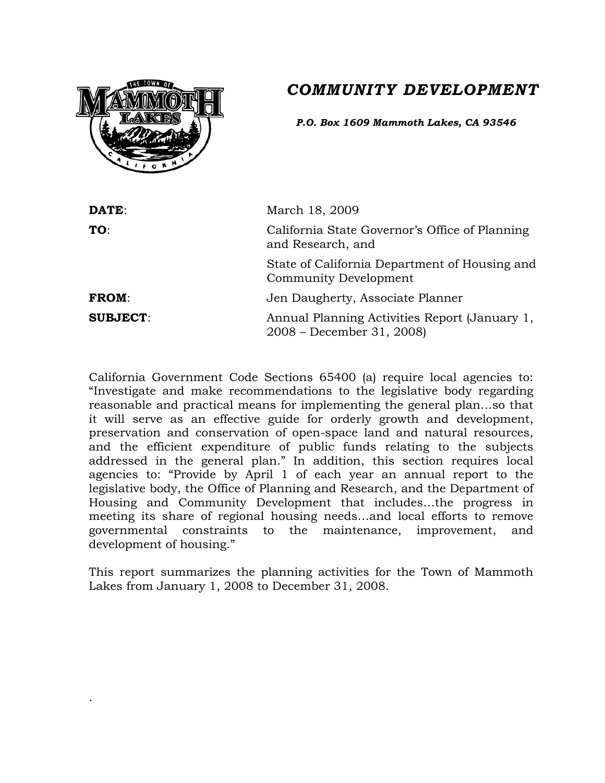# *COMMUNITY DEVELOPMENT*



.

*P.O. Box 1609 Mammoth Lakes, CA 93546*

| DATE:           | March 18, 2009                                                             |
|-----------------|----------------------------------------------------------------------------|
| TO:             | California State Governor's Office of Planning<br>and Research, and        |
|                 | State of California Department of Housing and<br>Community Development     |
| <b>FROM:</b>    | Jen Daugherty, Associate Planner                                           |
| <b>SUBJECT:</b> | Annual Planning Activities Report (January 1,<br>2008 – December 31, 2008) |

California Government Code Sections 65400 (a) require local agencies to: "Investigate and make recommendations to the legislative body regarding reasonable and practical means for implementing the general plan…so that it will serve as an effective guide for orderly growth and development, preservation and conservation of open-space land and natural resources, and the efficient expenditure of public funds relating to the subjects addressed in the general plan." In addition, this section requires local agencies to: "Provide by April 1 of each year an annual report to the legislative body, the Office of Planning and Research, and the Department of Housing and Community Development that includes…the progress in meeting its share of regional housing needs…and local efforts to remove governmental constraints to the maintenance, improvement, and development of housing."

This report summarizes the planning activities for the Town of Mammoth Lakes from January 1, 2008 to December 31, 2008.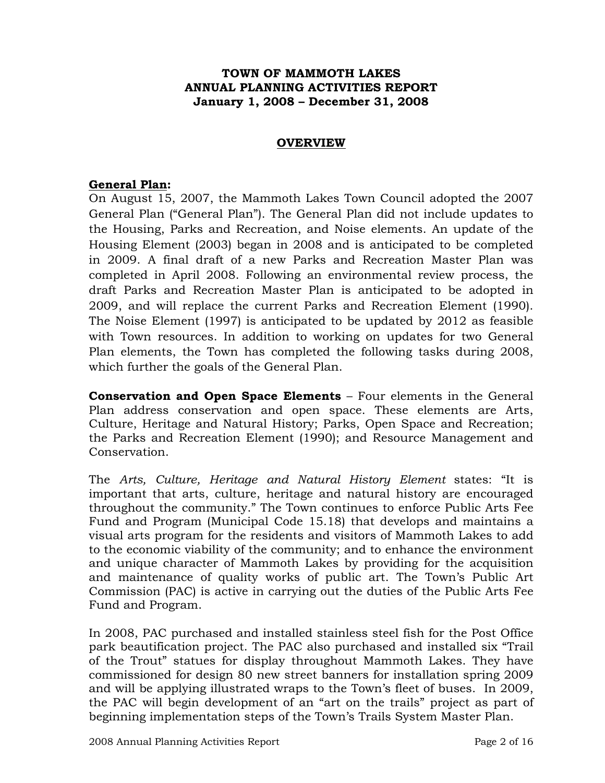### **TOWN OF MAMMOTH LAKES ANNUAL PLANNING ACTIVITIES REPORT January 1, 2008 – December 31, 2008**

#### **OVERVIEW**

### **General Plan:**

On August 15, 2007, the Mammoth Lakes Town Council adopted the 2007 General Plan ("General Plan"). The General Plan did not include updates to the Housing, Parks and Recreation, and Noise elements. An update of the Housing Element (2003) began in 2008 and is anticipated to be completed in 2009. A final draft of a new Parks and Recreation Master Plan was completed in April 2008. Following an environmental review process, the draft Parks and Recreation Master Plan is anticipated to be adopted in 2009, and will replace the current Parks and Recreation Element (1990). The Noise Element (1997) is anticipated to be updated by 2012 as feasible with Town resources. In addition to working on updates for two General Plan elements, the Town has completed the following tasks during 2008, which further the goals of the General Plan.

**Conservation and Open Space Elements** – Four elements in the General Plan address conservation and open space. These elements are Arts, Culture, Heritage and Natural History; Parks, Open Space and Recreation; the Parks and Recreation Element (1990); and Resource Management and Conservation.

The *Arts, Culture, Heritage and Natural History Element* states: "It is important that arts, culture, heritage and natural history are encouraged throughout the community." The Town continues to enforce Public Arts Fee Fund and Program (Municipal Code 15.18) that develops and maintains a visual arts program for the residents and visitors of Mammoth Lakes to add to the economic viability of the community; and to enhance the environment and unique character of Mammoth Lakes by providing for the acquisition and maintenance of quality works of public art. The Town's Public Art Commission (PAC) is active in carrying out the duties of the Public Arts Fee Fund and Program.

In 2008, PAC purchased and installed stainless steel fish for the Post Office park beautification project. The PAC also purchased and installed six "Trail of the Trout" statues for display throughout Mammoth Lakes. They have commissioned for design 80 new street banners for installation spring 2009 and will be applying illustrated wraps to the Town's fleet of buses. In 2009, the PAC will begin development of an "art on the trails" project as part of beginning implementation steps of the Town's Trails System Master Plan.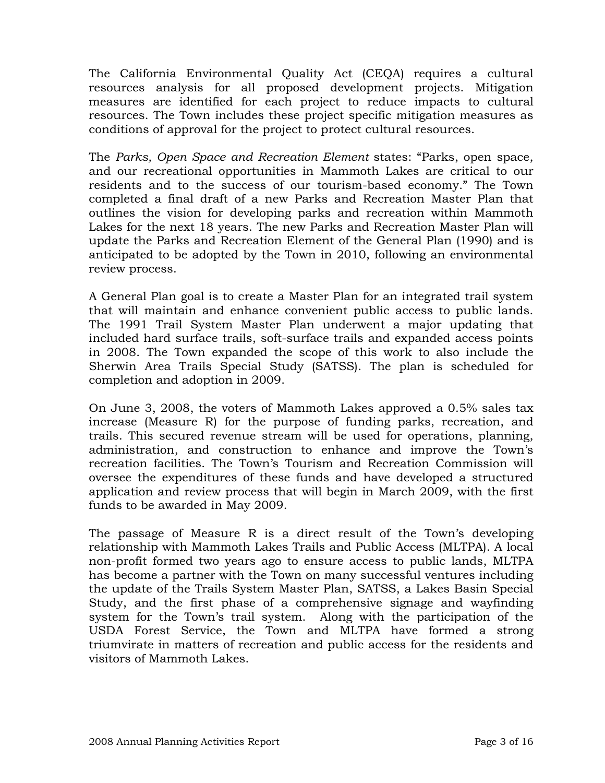The California Environmental Quality Act (CEQA) requires a cultural resources analysis for all proposed development projects. Mitigation measures are identified for each project to reduce impacts to cultural resources. The Town includes these project specific mitigation measures as conditions of approval for the project to protect cultural resources.

The *Parks, Open Space and Recreation Element* states: "Parks, open space, and our recreational opportunities in Mammoth Lakes are critical to our residents and to the success of our tourism-based economy." The Town completed a final draft of a new Parks and Recreation Master Plan that outlines the vision for developing parks and recreation within Mammoth Lakes for the next 18 years. The new Parks and Recreation Master Plan will update the Parks and Recreation Element of the General Plan (1990) and is anticipated to be adopted by the Town in 2010, following an environmental review process.

A General Plan goal is to create a Master Plan for an integrated trail system that will maintain and enhance convenient public access to public lands. The 1991 Trail System Master Plan underwent a major updating that included hard surface trails, soft-surface trails and expanded access points in 2008. The Town expanded the scope of this work to also include the Sherwin Area Trails Special Study (SATSS). The plan is scheduled for completion and adoption in 2009.

On June 3, 2008, the voters of Mammoth Lakes approved a 0.5% sales tax increase (Measure R) for the purpose of funding parks, recreation, and trails. This secured revenue stream will be used for operations, planning, administration, and construction to enhance and improve the Town's recreation facilities. The Town's Tourism and Recreation Commission will oversee the expenditures of these funds and have developed a structured application and review process that will begin in March 2009, with the first funds to be awarded in May 2009.

The passage of Measure R is a direct result of the Town's developing relationship with Mammoth Lakes Trails and Public Access (MLTPA). A local non-profit formed two years ago to ensure access to public lands, MLTPA has become a partner with the Town on many successful ventures including the update of the Trails System Master Plan, SATSS, a Lakes Basin Special Study, and the first phase of a comprehensive signage and wayfinding system for the Town's trail system. Along with the participation of the USDA Forest Service, the Town and MLTPA have formed a strong triumvirate in matters of recreation and public access for the residents and visitors of Mammoth Lakes.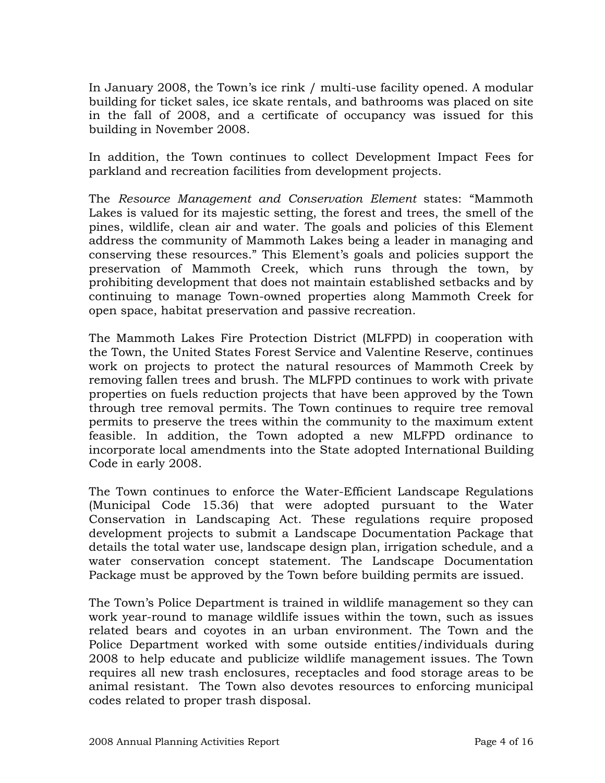In January 2008, the Town's ice rink / multi-use facility opened. A modular building for ticket sales, ice skate rentals, and bathrooms was placed on site in the fall of 2008, and a certificate of occupancy was issued for this building in November 2008.

In addition, the Town continues to collect Development Impact Fees for parkland and recreation facilities from development projects.

The *Resource Management and Conservation Element* states: "Mammoth Lakes is valued for its majestic setting, the forest and trees, the smell of the pines, wildlife, clean air and water. The goals and policies of this Element address the community of Mammoth Lakes being a leader in managing and conserving these resources." This Element's goals and policies support the preservation of Mammoth Creek, which runs through the town, by prohibiting development that does not maintain established setbacks and by continuing to manage Town-owned properties along Mammoth Creek for open space, habitat preservation and passive recreation.

The Mammoth Lakes Fire Protection District (MLFPD) in cooperation with the Town, the United States Forest Service and Valentine Reserve, continues work on projects to protect the natural resources of Mammoth Creek by removing fallen trees and brush. The MLFPD continues to work with private properties on fuels reduction projects that have been approved by the Town through tree removal permits. The Town continues to require tree removal permits to preserve the trees within the community to the maximum extent feasible. In addition, the Town adopted a new MLFPD ordinance to incorporate local amendments into the State adopted International Building Code in early 2008.

The Town continues to enforce the Water-Efficient Landscape Regulations (Municipal Code 15.36) that were adopted pursuant to the Water Conservation in Landscaping Act. These regulations require proposed development projects to submit a Landscape Documentation Package that details the total water use, landscape design plan, irrigation schedule, and a water conservation concept statement. The Landscape Documentation Package must be approved by the Town before building permits are issued.

The Town's Police Department is trained in wildlife management so they can work year-round to manage wildlife issues within the town, such as issues related bears and coyotes in an urban environment. The Town and the Police Department worked with some outside entities/individuals during 2008 to help educate and publicize wildlife management issues. The Town requires all new trash enclosures, receptacles and food storage areas to be animal resistant. The Town also devotes resources to enforcing municipal codes related to proper trash disposal.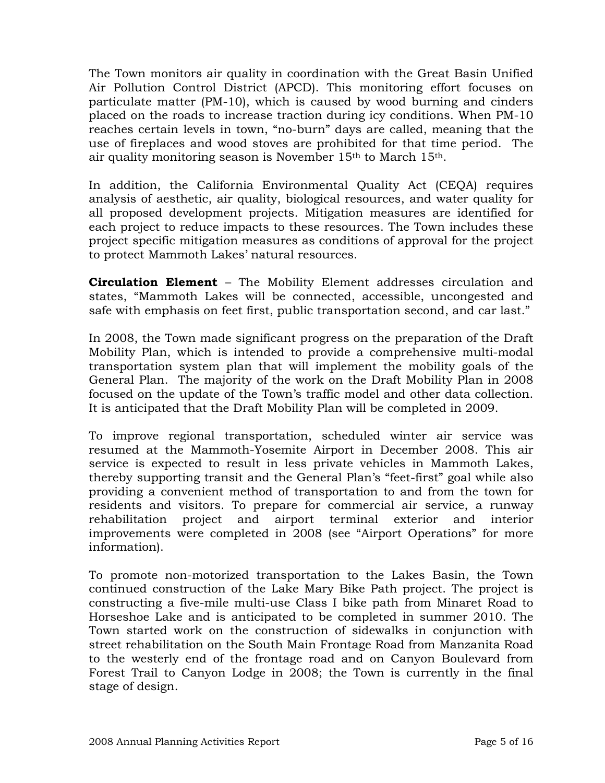The Town monitors air quality in coordination with the Great Basin Unified Air Pollution Control District (APCD). This monitoring effort focuses on particulate matter (PM-10), which is caused by wood burning and cinders placed on the roads to increase traction during icy conditions. When PM-10 reaches certain levels in town, "no-burn" days are called, meaning that the use of fireplaces and wood stoves are prohibited for that time period. The air quality monitoring season is November 15th to March 15th.

In addition, the California Environmental Quality Act (CEQA) requires analysis of aesthetic, air quality, biological resources, and water quality for all proposed development projects. Mitigation measures are identified for each project to reduce impacts to these resources. The Town includes these project specific mitigation measures as conditions of approval for the project to protect Mammoth Lakes' natural resources.

**Circulation Element** – The Mobility Element addresses circulation and states, "Mammoth Lakes will be connected, accessible, uncongested and safe with emphasis on feet first, public transportation second, and car last."

In 2008, the Town made significant progress on the preparation of the Draft Mobility Plan, which is intended to provide a comprehensive multi-modal transportation system plan that will implement the mobility goals of the General Plan. The majority of the work on the Draft Mobility Plan in 2008 focused on the update of the Town's traffic model and other data collection. It is anticipated that the Draft Mobility Plan will be completed in 2009.

To improve regional transportation, scheduled winter air service was resumed at the Mammoth-Yosemite Airport in December 2008. This air service is expected to result in less private vehicles in Mammoth Lakes, thereby supporting transit and the General Plan's "feet-first" goal while also providing a convenient method of transportation to and from the town for residents and visitors. To prepare for commercial air service, a runway rehabilitation project and airport terminal exterior and interior improvements were completed in 2008 (see "Airport Operations" for more information).

To promote non-motorized transportation to the Lakes Basin, the Town continued construction of the Lake Mary Bike Path project. The project is constructing a five-mile multi-use Class I bike path from Minaret Road to Horseshoe Lake and is anticipated to be completed in summer 2010. The Town started work on the construction of sidewalks in conjunction with street rehabilitation on the South Main Frontage Road from Manzanita Road to the westerly end of the frontage road and on Canyon Boulevard from Forest Trail to Canyon Lodge in 2008; the Town is currently in the final stage of design.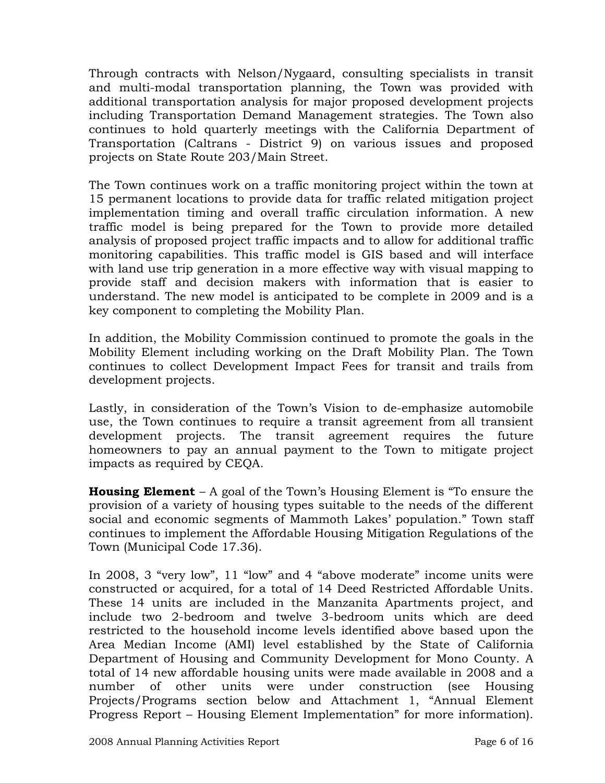Through contracts with Nelson/Nygaard, consulting specialists in transit and multi-modal transportation planning, the Town was provided with additional transportation analysis for major proposed development projects including Transportation Demand Management strategies. The Town also continues to hold quarterly meetings with the California Department of Transportation (Caltrans - District 9) on various issues and proposed projects on State Route 203/Main Street.

The Town continues work on a traffic monitoring project within the town at 15 permanent locations to provide data for traffic related mitigation project implementation timing and overall traffic circulation information. A new traffic model is being prepared for the Town to provide more detailed analysis of proposed project traffic impacts and to allow for additional traffic monitoring capabilities. This traffic model is GIS based and will interface with land use trip generation in a more effective way with visual mapping to provide staff and decision makers with information that is easier to understand. The new model is anticipated to be complete in 2009 and is a key component to completing the Mobility Plan.

In addition, the Mobility Commission continued to promote the goals in the Mobility Element including working on the Draft Mobility Plan. The Town continues to collect Development Impact Fees for transit and trails from development projects.

Lastly, in consideration of the Town's Vision to de-emphasize automobile use, the Town continues to require a transit agreement from all transient development projects. The transit agreement requires the future homeowners to pay an annual payment to the Town to mitigate project impacts as required by CEQA.

**Housing Element** – A goal of the Town's Housing Element is "To ensure the provision of a variety of housing types suitable to the needs of the different social and economic segments of Mammoth Lakes' population." Town staff continues to implement the Affordable Housing Mitigation Regulations of the Town (Municipal Code 17.36).

In 2008, 3 "very low", 11 "low" and 4 "above moderate" income units were constructed or acquired, for a total of 14 Deed Restricted Affordable Units. These 14 units are included in the Manzanita Apartments project, and include two 2-bedroom and twelve 3-bedroom units which are deed restricted to the household income levels identified above based upon the Area Median Income (AMI) level established by the State of California Department of Housing and Community Development for Mono County. A total of 14 new affordable housing units were made available in 2008 and a number of other units were under construction (see Housing Projects/Programs section below and Attachment 1, "Annual Element Progress Report – Housing Element Implementation" for more information).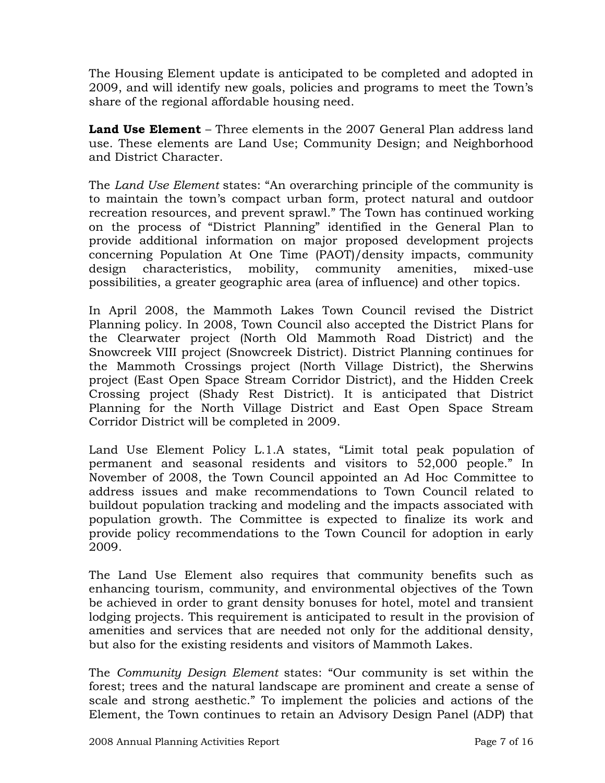The Housing Element update is anticipated to be completed and adopted in 2009, and will identify new goals, policies and programs to meet the Town's share of the regional affordable housing need.

**Land Use Element** – Three elements in the 2007 General Plan address land use. These elements are Land Use; Community Design; and Neighborhood and District Character.

The *Land Use Element* states: "An overarching principle of the community is to maintain the town's compact urban form, protect natural and outdoor recreation resources, and prevent sprawl." The Town has continued working on the process of "District Planning" identified in the General Plan to provide additional information on major proposed development projects concerning Population At One Time (PAOT)/density impacts, community design characteristics, mobility, community amenities, mixed-use possibilities, a greater geographic area (area of influence) and other topics.

In April 2008, the Mammoth Lakes Town Council revised the District Planning policy. In 2008, Town Council also accepted the District Plans for the Clearwater project (North Old Mammoth Road District) and the Snowcreek VIII project (Snowcreek District). District Planning continues for the Mammoth Crossings project (North Village District), the Sherwins project (East Open Space Stream Corridor District), and the Hidden Creek Crossing project (Shady Rest District). It is anticipated that District Planning for the North Village District and East Open Space Stream Corridor District will be completed in 2009.

Land Use Element Policy L.1.A states, "Limit total peak population of permanent and seasonal residents and visitors to 52,000 people." In November of 2008, the Town Council appointed an Ad Hoc Committee to address issues and make recommendations to Town Council related to buildout population tracking and modeling and the impacts associated with population growth. The Committee is expected to finalize its work and provide policy recommendations to the Town Council for adoption in early 2009.

The Land Use Element also requires that community benefits such as enhancing tourism, community, and environmental objectives of the Town be achieved in order to grant density bonuses for hotel, motel and transient lodging projects. This requirement is anticipated to result in the provision of amenities and services that are needed not only for the additional density, but also for the existing residents and visitors of Mammoth Lakes.

The *Community Design Element* states: "Our community is set within the forest; trees and the natural landscape are prominent and create a sense of scale and strong aesthetic." To implement the policies and actions of the Element, the Town continues to retain an Advisory Design Panel (ADP) that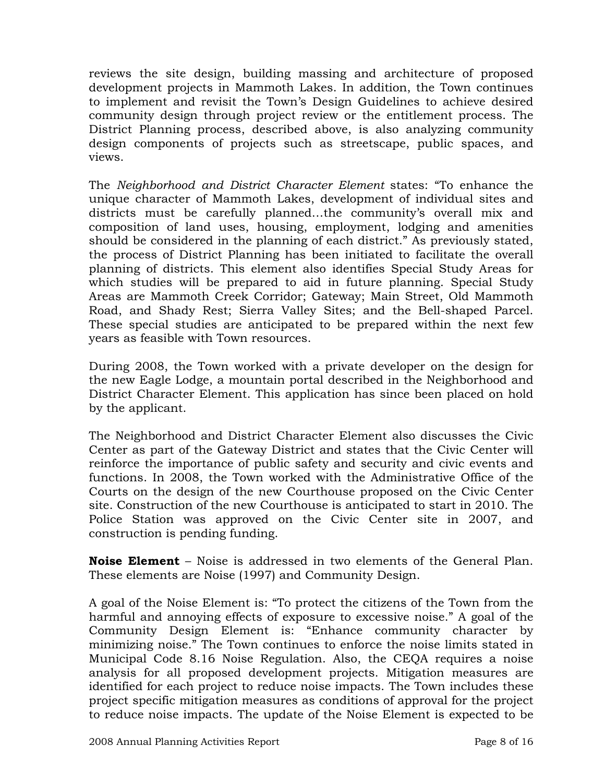reviews the site design, building massing and architecture of proposed development projects in Mammoth Lakes. In addition, the Town continues to implement and revisit the Town's Design Guidelines to achieve desired community design through project review or the entitlement process. The District Planning process, described above, is also analyzing community design components of projects such as streetscape, public spaces, and views.

The *Neighborhood and District Character Element* states: "To enhance the unique character of Mammoth Lakes, development of individual sites and districts must be carefully planned…the community's overall mix and composition of land uses, housing, employment, lodging and amenities should be considered in the planning of each district." As previously stated, the process of District Planning has been initiated to facilitate the overall planning of districts. This element also identifies Special Study Areas for which studies will be prepared to aid in future planning. Special Study Areas are Mammoth Creek Corridor; Gateway; Main Street, Old Mammoth Road, and Shady Rest; Sierra Valley Sites; and the Bell-shaped Parcel. These special studies are anticipated to be prepared within the next few years as feasible with Town resources.

During 2008, the Town worked with a private developer on the design for the new Eagle Lodge, a mountain portal described in the Neighborhood and District Character Element. This application has since been placed on hold by the applicant.

The Neighborhood and District Character Element also discusses the Civic Center as part of the Gateway District and states that the Civic Center will reinforce the importance of public safety and security and civic events and functions. In 2008, the Town worked with the Administrative Office of the Courts on the design of the new Courthouse proposed on the Civic Center site. Construction of the new Courthouse is anticipated to start in 2010. The Police Station was approved on the Civic Center site in 2007, and construction is pending funding.

**Noise Element** – Noise is addressed in two elements of the General Plan. These elements are Noise (1997) and Community Design.

A goal of the Noise Element is: "To protect the citizens of the Town from the harmful and annoying effects of exposure to excessive noise." A goal of the Community Design Element is: "Enhance community character by minimizing noise." The Town continues to enforce the noise limits stated in Municipal Code 8.16 Noise Regulation. Also, the CEQA requires a noise analysis for all proposed development projects. Mitigation measures are identified for each project to reduce noise impacts. The Town includes these project specific mitigation measures as conditions of approval for the project to reduce noise impacts. The update of the Noise Element is expected to be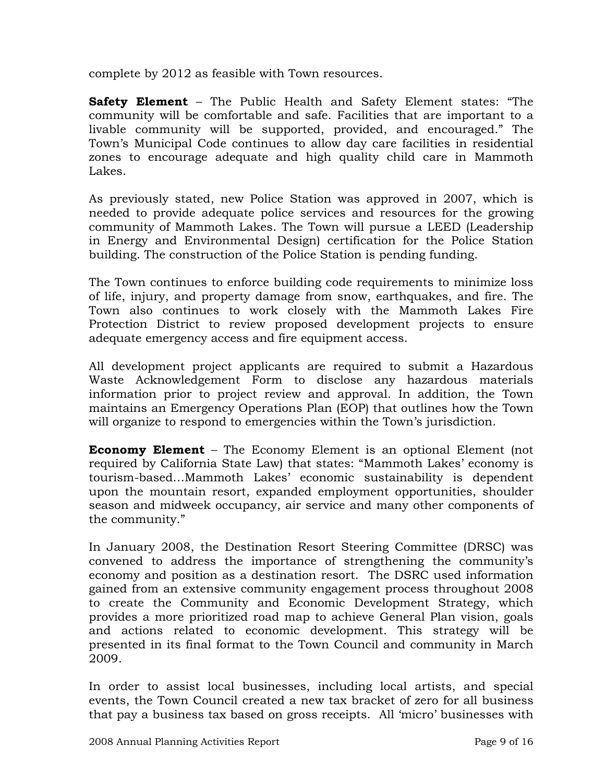complete by 2012 as feasible with Town resources.

**Safety Element** – The Public Health and Safety Element states: "The community will be comfortable and safe. Facilities that are important to a livable community will be supported, provided, and encouraged." The Town's Municipal Code continues to allow day care facilities in residential zones to encourage adequate and high quality child care in Mammoth Lakes.

As previously stated, new Police Station was approved in 2007, which is needed to provide adequate police services and resources for the growing community of Mammoth Lakes. The Town will pursue a LEED (Leadership in Energy and Environmental Design) certification for the Police Station building. The construction of the Police Station is pending funding.

The Town continues to enforce building code requirements to minimize loss of life, injury, and property damage from snow, earthquakes, and fire. The Town also continues to work closely with the Mammoth Lakes Fire Protection District to review proposed development projects to ensure adequate emergency access and fire equipment access.

All development project applicants are required to submit a Hazardous Waste Acknowledgement Form to disclose any hazardous materials information prior to project review and approval. In addition, the Town maintains an Emergency Operations Plan (EOP) that outlines how the Town will organize to respond to emergencies within the Town's jurisdiction.

**Economy Element** – The Economy Element is an optional Element (not required by California State Law) that states: "Mammoth Lakes' economy is tourism-based…Mammoth Lakes' economic sustainability is dependent upon the mountain resort, expanded employment opportunities, shoulder season and midweek occupancy, air service and many other components of the community."

In January 2008, the Destination Resort Steering Committee (DRSC) was convened to address the importance of strengthening the community's economy and position as a destination resort. The DSRC used information gained from an extensive community engagement process throughout 2008 to create the Community and Economic Development Strategy, which provides a more prioritized road map to achieve General Plan vision, goals and actions related to economic development. This strategy will be presented in its final format to the Town Council and community in March 2009.

In order to assist local businesses, including local artists, and special events, the Town Council created a new tax bracket of zero for all business that pay a business tax based on gross receipts. All 'micro' businesses with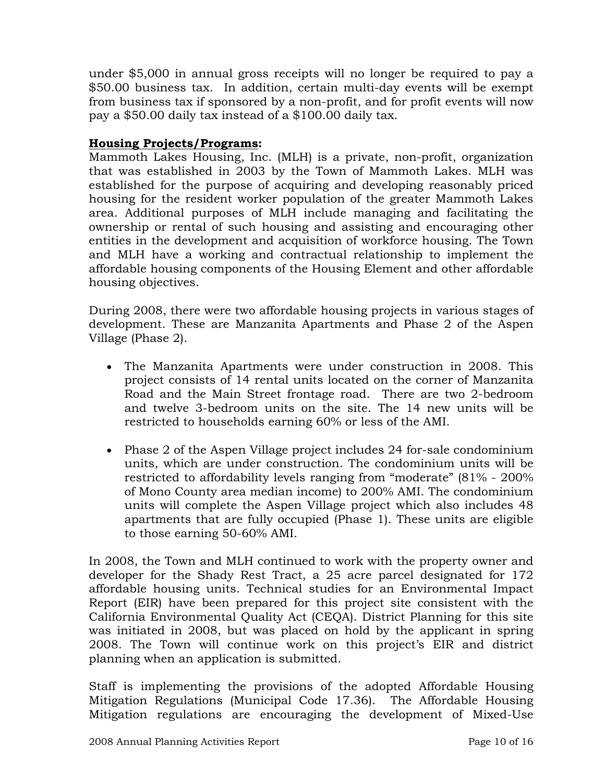under \$5,000 in annual gross receipts will no longer be required to pay a \$50.00 business tax. In addition, certain multi-day events will be exempt from business tax if sponsored by a non-profit, and for profit events will now pay a \$50.00 daily tax instead of a \$100.00 daily tax.

## **Housing Projects/Programs:**

Mammoth Lakes Housing, Inc. (MLH) is a private, non-profit, organization that was established in 2003 by the Town of Mammoth Lakes. MLH was established for the purpose of acquiring and developing reasonably priced housing for the resident worker population of the greater Mammoth Lakes area. Additional purposes of MLH include managing and facilitating the ownership or rental of such housing and assisting and encouraging other entities in the development and acquisition of workforce housing. The Town and MLH have a working and contractual relationship to implement the affordable housing components of the Housing Element and other affordable housing objectives.

During 2008, there were two affordable housing projects in various stages of development. These are Manzanita Apartments and Phase 2 of the Aspen Village (Phase 2).

- The Manzanita Apartments were under construction in 2008. This project consists of 14 rental units located on the corner of Manzanita Road and the Main Street frontage road. There are two 2-bedroom and twelve 3-bedroom units on the site. The 14 new units will be restricted to households earning 60% or less of the AMI.
- Phase 2 of the Aspen Village project includes 24 for-sale condominium units, which are under construction. The condominium units will be restricted to affordability levels ranging from "moderate" (81% - 200% of Mono County area median income) to 200% AMI. The condominium units will complete the Aspen Village project which also includes 48 apartments that are fully occupied (Phase 1). These units are eligible to those earning 50-60% AMI.

In 2008, the Town and MLH continued to work with the property owner and developer for the Shady Rest Tract, a 25 acre parcel designated for 172 affordable housing units. Technical studies for an Environmental Impact Report (EIR) have been prepared for this project site consistent with the California Environmental Quality Act (CEQA). District Planning for this site was initiated in 2008, but was placed on hold by the applicant in spring 2008. The Town will continue work on this project's EIR and district planning when an application is submitted.

Staff is implementing the provisions of the adopted Affordable Housing Mitigation Regulations (Municipal Code 17.36). The Affordable Housing Mitigation regulations are encouraging the development of Mixed-Use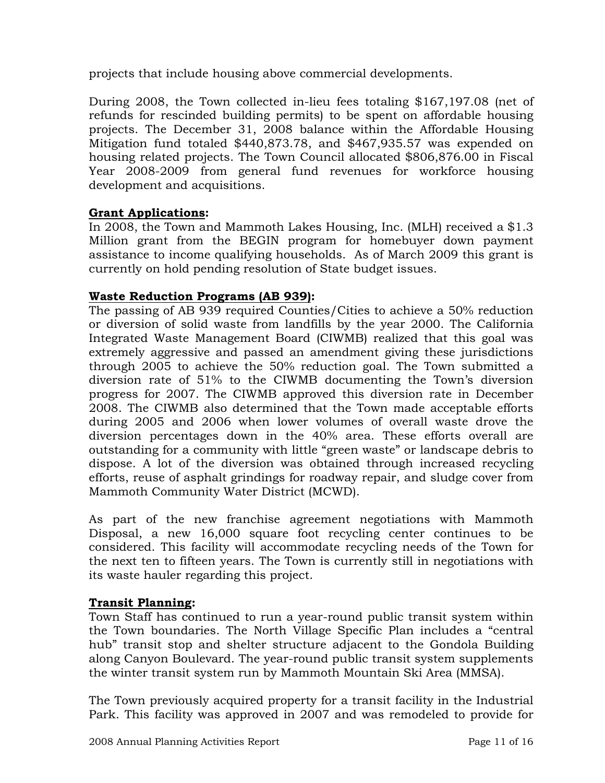projects that include housing above commercial developments.

During 2008, the Town collected in-lieu fees totaling \$167,197.08 (net of refunds for rescinded building permits) to be spent on affordable housing projects. The December 31, 2008 balance within the Affordable Housing Mitigation fund totaled \$440,873.78, and \$467,935.57 was expended on housing related projects. The Town Council allocated \$806,876.00 in Fiscal Year 2008-2009 from general fund revenues for workforce housing development and acquisitions.

## **Grant Applications:**

In 2008, the Town and Mammoth Lakes Housing, Inc. (MLH) received a \$1.3 Million grant from the BEGIN program for homebuyer down payment assistance to income qualifying households. As of March 2009 this grant is currently on hold pending resolution of State budget issues.

## **Waste Reduction Programs (AB 939):**

The passing of AB 939 required Counties/Cities to achieve a 50% reduction or diversion of solid waste from landfills by the year 2000. The California Integrated Waste Management Board (CIWMB) realized that this goal was extremely aggressive and passed an amendment giving these jurisdictions through 2005 to achieve the 50% reduction goal. The Town submitted a diversion rate of 51% to the CIWMB documenting the Town's diversion progress for 2007. The CIWMB approved this diversion rate in December 2008. The CIWMB also determined that the Town made acceptable efforts during 2005 and 2006 when lower volumes of overall waste drove the diversion percentages down in the 40% area. These efforts overall are outstanding for a community with little "green waste" or landscape debris to dispose. A lot of the diversion was obtained through increased recycling efforts, reuse of asphalt grindings for roadway repair, and sludge cover from Mammoth Community Water District (MCWD).

As part of the new franchise agreement negotiations with Mammoth Disposal, a new 16,000 square foot recycling center continues to be considered. This facility will accommodate recycling needs of the Town for the next ten to fifteen years. The Town is currently still in negotiations with its waste hauler regarding this project.

### **Transit Planning:**

Town Staff has continued to run a year-round public transit system within the Town boundaries. The North Village Specific Plan includes a "central hub" transit stop and shelter structure adjacent to the Gondola Building along Canyon Boulevard. The year-round public transit system supplements the winter transit system run by Mammoth Mountain Ski Area (MMSA).

The Town previously acquired property for a transit facility in the Industrial Park. This facility was approved in 2007 and was remodeled to provide for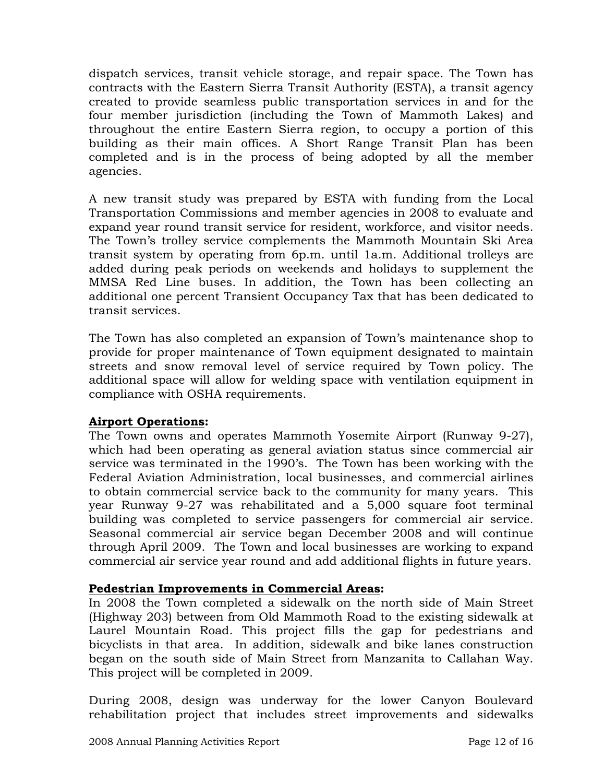dispatch services, transit vehicle storage, and repair space. The Town has contracts with the Eastern Sierra Transit Authority (ESTA), a transit agency created to provide seamless public transportation services in and for the four member jurisdiction (including the Town of Mammoth Lakes) and throughout the entire Eastern Sierra region, to occupy a portion of this building as their main offices. A Short Range Transit Plan has been completed and is in the process of being adopted by all the member agencies.

A new transit study was prepared by ESTA with funding from the Local Transportation Commissions and member agencies in 2008 to evaluate and expand year round transit service for resident, workforce, and visitor needs. The Town's trolley service complements the Mammoth Mountain Ski Area transit system by operating from 6p.m. until 1a.m. Additional trolleys are added during peak periods on weekends and holidays to supplement the MMSA Red Line buses. In addition, the Town has been collecting an additional one percent Transient Occupancy Tax that has been dedicated to transit services.

The Town has also completed an expansion of Town's maintenance shop to provide for proper maintenance of Town equipment designated to maintain streets and snow removal level of service required by Town policy. The additional space will allow for welding space with ventilation equipment in compliance with OSHA requirements.

## **Airport Operations:**

The Town owns and operates Mammoth Yosemite Airport (Runway 9-27), which had been operating as general aviation status since commercial air service was terminated in the 1990's. The Town has been working with the Federal Aviation Administration, local businesses, and commercial airlines to obtain commercial service back to the community for many years. This year Runway 9-27 was rehabilitated and a 5,000 square foot terminal building was completed to service passengers for commercial air service. Seasonal commercial air service began December 2008 and will continue through April 2009. The Town and local businesses are working to expand commercial air service year round and add additional flights in future years.

### **Pedestrian Improvements in Commercial Areas:**

In 2008 the Town completed a sidewalk on the north side of Main Street (Highway 203) between from Old Mammoth Road to the existing sidewalk at Laurel Mountain Road. This project fills the gap for pedestrians and bicyclists in that area. In addition, sidewalk and bike lanes construction began on the south side of Main Street from Manzanita to Callahan Way. This project will be completed in 2009.

During 2008, design was underway for the lower Canyon Boulevard rehabilitation project that includes street improvements and sidewalks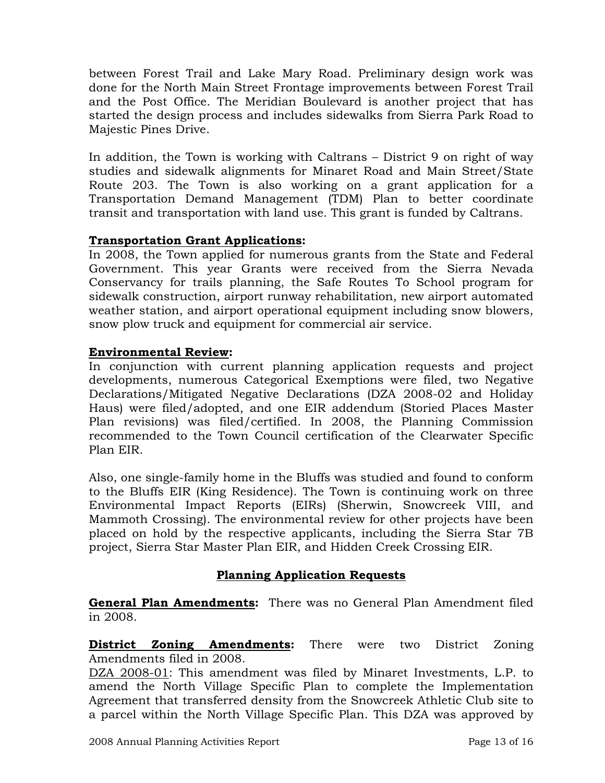between Forest Trail and Lake Mary Road. Preliminary design work was done for the North Main Street Frontage improvements between Forest Trail and the Post Office. The Meridian Boulevard is another project that has started the design process and includes sidewalks from Sierra Park Road to Majestic Pines Drive.

In addition, the Town is working with Caltrans – District 9 on right of way studies and sidewalk alignments for Minaret Road and Main Street/State Route 203. The Town is also working on a grant application for a Transportation Demand Management (TDM) Plan to better coordinate transit and transportation with land use. This grant is funded by Caltrans.

## **Transportation Grant Applications:**

In 2008, the Town applied for numerous grants from the State and Federal Government. This year Grants were received from the Sierra Nevada Conservancy for trails planning, the Safe Routes To School program for sidewalk construction, airport runway rehabilitation, new airport automated weather station, and airport operational equipment including snow blowers, snow plow truck and equipment for commercial air service.

## **Environmental Review:**

In conjunction with current planning application requests and project developments, numerous Categorical Exemptions were filed, two Negative Declarations/Mitigated Negative Declarations (DZA 2008-02 and Holiday Haus) were filed/adopted, and one EIR addendum (Storied Places Master Plan revisions) was filed/certified. In 2008, the Planning Commission recommended to the Town Council certification of the Clearwater Specific Plan EIR.

Also, one single-family home in the Bluffs was studied and found to conform to the Bluffs EIR (King Residence). The Town is continuing work on three Environmental Impact Reports (EIRs) (Sherwin, Snowcreek VIII, and Mammoth Crossing). The environmental review for other projects have been placed on hold by the respective applicants, including the Sierra Star 7B project, Sierra Star Master Plan EIR, and Hidden Creek Crossing EIR.

## **Planning Application Requests**

**General Plan Amendments:** There was no General Plan Amendment filed in 2008.

**District Zoning Amendments:** There were two District Zoning Amendments filed in 2008.

DZA 2008-01: This amendment was filed by Minaret Investments, L.P. to amend the North Village Specific Plan to complete the Implementation Agreement that transferred density from the Snowcreek Athletic Club site to a parcel within the North Village Specific Plan. This DZA was approved by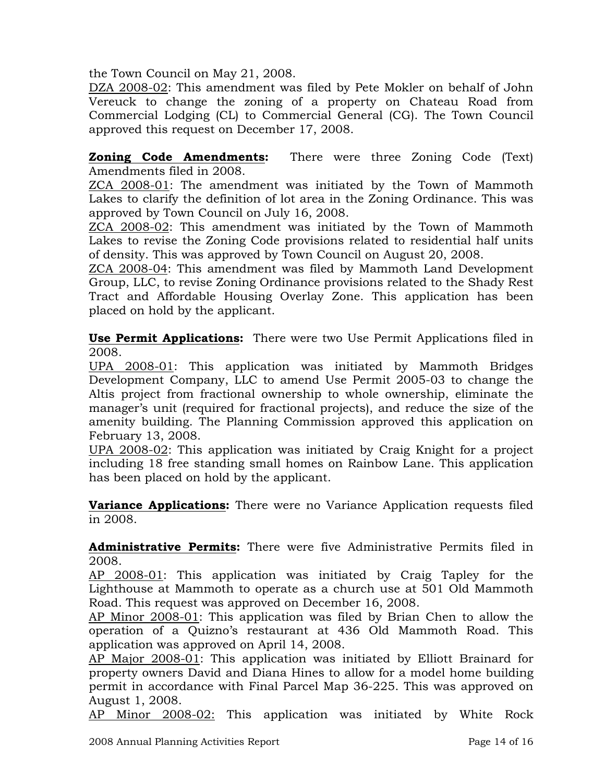the Town Council on May 21, 2008.

DZA 2008-02: This amendment was filed by Pete Mokler on behalf of John Vereuck to change the zoning of a property on Chateau Road from Commercial Lodging (CL) to Commercial General (CG). The Town Council approved this request on December 17, 2008.

**Zoning Code Amendments:** There were three Zoning Code (Text) Amendments filed in 2008.

ZCA 2008-01: The amendment was initiated by the Town of Mammoth Lakes to clarify the definition of lot area in the Zoning Ordinance. This was approved by Town Council on July 16, 2008.

ZCA 2008-02: This amendment was initiated by the Town of Mammoth Lakes to revise the Zoning Code provisions related to residential half units of density. This was approved by Town Council on August 20, 2008.

ZCA 2008-04: This amendment was filed by Mammoth Land Development Group, LLC, to revise Zoning Ordinance provisions related to the Shady Rest Tract and Affordable Housing Overlay Zone. This application has been placed on hold by the applicant.

**Use Permit Applications:** There were two Use Permit Applications filed in 2008.

UPA 2008-01: This application was initiated by Mammoth Bridges Development Company, LLC to amend Use Permit 2005-03 to change the Altis project from fractional ownership to whole ownership, eliminate the manager's unit (required for fractional projects), and reduce the size of the amenity building. The Planning Commission approved this application on February 13, 2008.

UPA 2008-02: This application was initiated by Craig Knight for a project including 18 free standing small homes on Rainbow Lane. This application has been placed on hold by the applicant.

**Variance Applications:** There were no Variance Application requests filed in 2008.

**Administrative Permits:** There were five Administrative Permits filed in 2008.

AP 2008-01: This application was initiated by Craig Tapley for the Lighthouse at Mammoth to operate as a church use at 501 Old Mammoth Road. This request was approved on December 16, 2008.

AP Minor 2008-01: This application was filed by Brian Chen to allow the operation of a Quizno's restaurant at 436 Old Mammoth Road. This application was approved on April 14, 2008.

AP Major 2008-01: This application was initiated by Elliott Brainard for property owners David and Diana Hines to allow for a model home building permit in accordance with Final Parcel Map 36-225. This was approved on August 1, 2008.

AP Minor 2008-02: This application was initiated by White Rock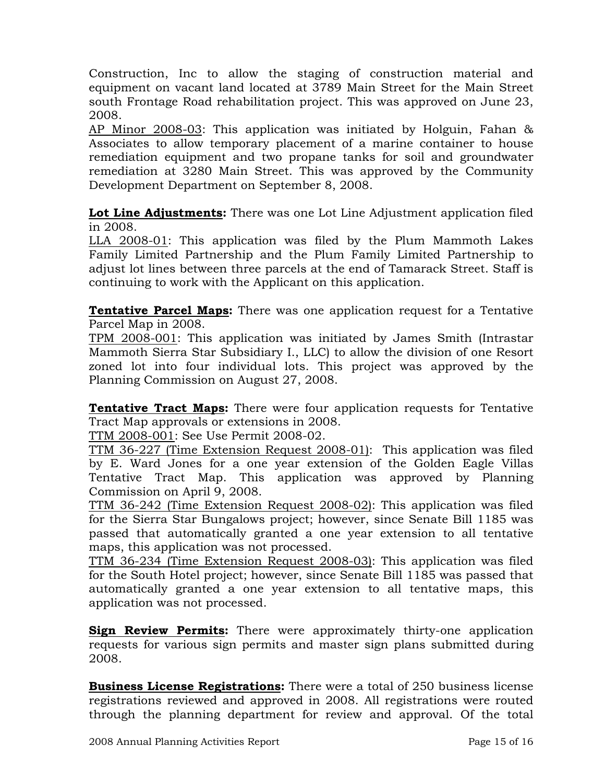Construction, Inc to allow the staging of construction material and equipment on vacant land located at 3789 Main Street for the Main Street south Frontage Road rehabilitation project. This was approved on June 23, 2008.

AP Minor 2008-03: This application was initiated by Holguin, Fahan & Associates to allow temporary placement of a marine container to house remediation equipment and two propane tanks for soil and groundwater remediation at 3280 Main Street. This was approved by the Community Development Department on September 8, 2008.

**Lot Line Adjustments:** There was one Lot Line Adjustment application filed in 2008.

LLA 2008-01: This application was filed by the Plum Mammoth Lakes Family Limited Partnership and the Plum Family Limited Partnership to adjust lot lines between three parcels at the end of Tamarack Street. Staff is continuing to work with the Applicant on this application.

**Tentative Parcel Maps:** There was one application request for a Tentative Parcel Map in 2008.

TPM 2008-001: This application was initiated by James Smith (Intrastar Mammoth Sierra Star Subsidiary I., LLC) to allow the division of one Resort zoned lot into four individual lots. This project was approved by the Planning Commission on August 27, 2008.

**Tentative Tract Maps:** There were four application requests for Tentative Tract Map approvals or extensions in 2008.

TTM 2008-001: See Use Permit 2008-02.

TTM 36-227 (Time Extension Request 2008-01): This application was filed by E. Ward Jones for a one year extension of the Golden Eagle Villas Tentative Tract Map. This application was approved by Planning Commission on April 9, 2008.

TTM 36-242 (Time Extension Request 2008-02): This application was filed for the Sierra Star Bungalows project; however, since Senate Bill 1185 was passed that automatically granted a one year extension to all tentative maps, this application was not processed.

TTM 36-234 (Time Extension Request 2008-03): This application was filed for the South Hotel project; however, since Senate Bill 1185 was passed that automatically granted a one year extension to all tentative maps, this application was not processed.

**Sign Review Permits:** There were approximately thirty-one application requests for various sign permits and master sign plans submitted during 2008.

**Business License Registrations:** There were a total of 250 business license registrations reviewed and approved in 2008. All registrations were routed through the planning department for review and approval. Of the total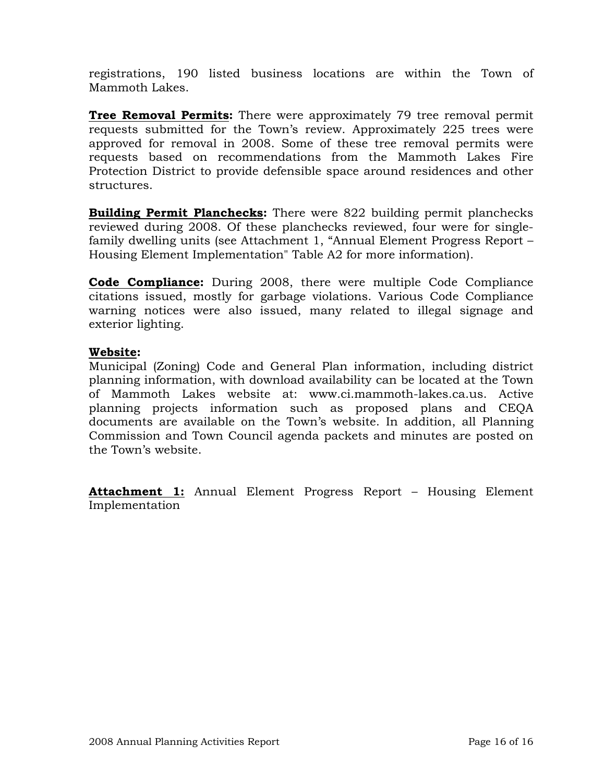registrations, 190 listed business locations are within the Town of Mammoth Lakes.

**Tree Removal Permits:** There were approximately 79 tree removal permit requests submitted for the Town's review. Approximately 225 trees were approved for removal in 2008. Some of these tree removal permits were requests based on recommendations from the Mammoth Lakes Fire Protection District to provide defensible space around residences and other structures.

**Building Permit Planchecks:** There were 822 building permit planchecks reviewed during 2008. Of these planchecks reviewed, four were for singlefamily dwelling units (see Attachment 1, "Annual Element Progress Report – Housing Element Implementation" Table A2 for more information).

**Code Compliance:** During 2008, there were multiple Code Compliance citations issued, mostly for garbage violations. Various Code Compliance warning notices were also issued, many related to illegal signage and exterior lighting.

### **Website:**

Municipal (Zoning) Code and General Plan information, including district planning information, with download availability can be located at the Town of Mammoth Lakes website at: www.ci.mammoth-lakes.ca.us. Active planning projects information such as proposed plans and CEQA documents are available on the Town's website. In addition, all Planning Commission and Town Council agenda packets and minutes are posted on the Town's website.

**Attachment 1:** Annual Element Progress Report – Housing Element Implementation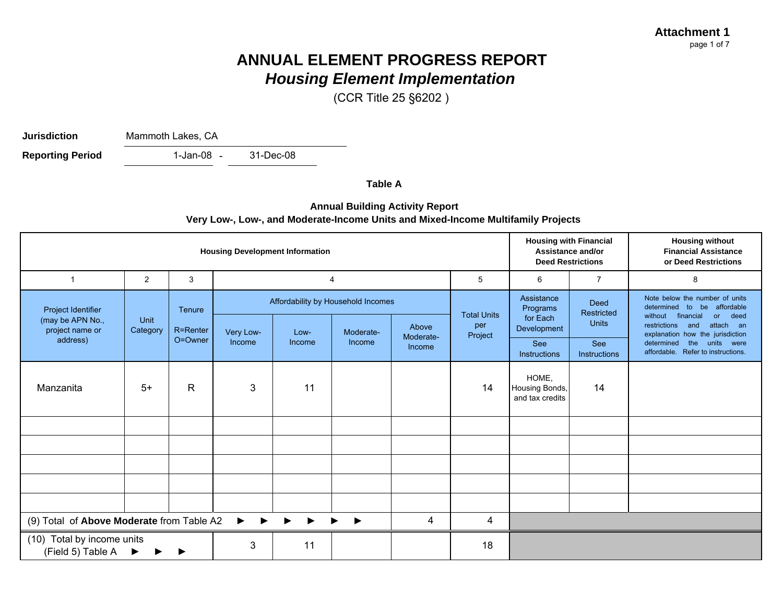**Attachment 1**page 1 of 7

## **ANNUAL ELEMENT PROGRESS REPORT***Housing Element Implementation*

(CCR Title 25 §6202 )

**Jurisdiction**

Mammoth Lakes, CA

1-Jan-08 -31-Dec-08**Reporting Period** 

**Table A**

#### **Annual Building Activity Report Very Low-, Low-, and Moderate-Income Units and Mixed-Income Multifamily Projects**

| <b>Housing Development Information</b>                                  |                  |              |           |        |                                    |                     |                    |                                            | <b>Housing with Financial</b><br>Assistance and/or<br><b>Deed Restrictions</b> | <b>Housing without</b><br><b>Financial Assistance</b><br>or Deed Restrictions                                                              |
|-------------------------------------------------------------------------|------------------|--------------|-----------|--------|------------------------------------|---------------------|--------------------|--------------------------------------------|--------------------------------------------------------------------------------|--------------------------------------------------------------------------------------------------------------------------------------------|
| $\mathbf 1$                                                             | 2                | 3            |           |        | $\overline{4}$                     |                     | 5                  | 6                                          | $\overline{7}$                                                                 | 8                                                                                                                                          |
| Project Identifier                                                      |                  | Tenure       |           |        | Affordability by Household Incomes |                     | <b>Total Units</b> | Assistance<br>Programs                     | <b>Deed</b><br><b>Restricted</b>                                               | Note below the number of units<br>be affordable<br>determined to<br>or deed<br>without<br>financial                                        |
| (may be APN No.,<br>project name or                                     | Unit<br>Category | R=Renter     | Very Low- | Low-   | Moderate-                          | Above               | per<br>Project     | for Each<br>Development                    | <b>Units</b>                                                                   | restrictions<br>attach an<br>and<br>explanation how the jurisdiction<br>determined<br>the units were<br>affordable. Refer to instructions. |
| address)                                                                |                  | O=Owner      | Income    | Income | Income                             | Moderate-<br>Income |                    | <b>See</b><br><b>Instructions</b>          | See<br>Instructions                                                            |                                                                                                                                            |
| Manzanita                                                               | $5+$             | $\mathsf{R}$ | 3         | 11     |                                    |                     | 14                 | HOME,<br>Housing Bonds,<br>and tax credits | 14                                                                             |                                                                                                                                            |
|                                                                         |                  |              |           |        |                                    |                     |                    |                                            |                                                                                |                                                                                                                                            |
|                                                                         |                  |              |           |        |                                    |                     |                    |                                            |                                                                                |                                                                                                                                            |
|                                                                         |                  |              |           |        |                                    |                     |                    |                                            |                                                                                |                                                                                                                                            |
|                                                                         |                  |              |           |        |                                    |                     |                    |                                            |                                                                                |                                                                                                                                            |
|                                                                         |                  |              |           |        |                                    |                     |                    |                                            |                                                                                |                                                                                                                                            |
| (9) Total of Above Moderate from Table A2<br>$\blacktriangleright$<br>4 |                  |              |           |        |                                    | 4                   |                    |                                            |                                                                                |                                                                                                                                            |
| (10) Total by income units<br>(Field 5) Table A                         | ▶                |              | 3         | 11     |                                    |                     | 18                 |                                            |                                                                                |                                                                                                                                            |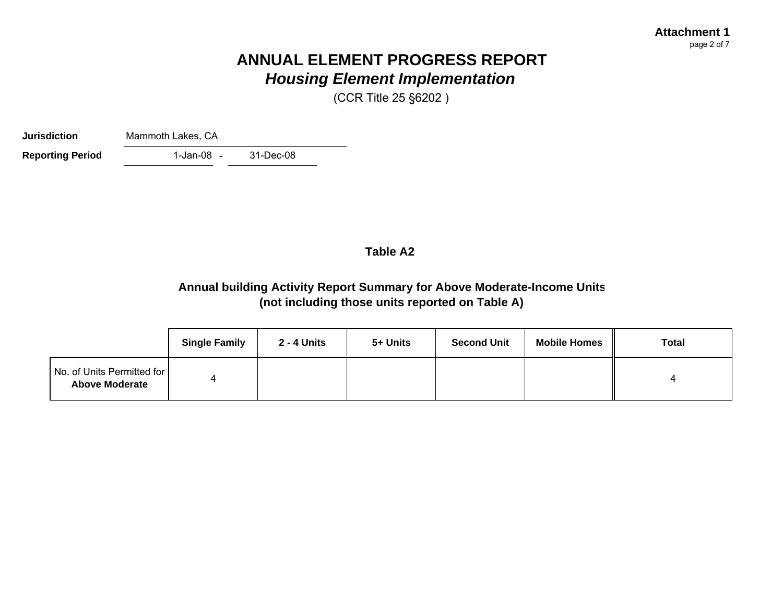#### **Attachment 1**page 2 of 7

# **ANNUAL ELEMENT PROGRESS REPORT***Housing Element Implementation*

(CCR Title 25 §6202 )

**Jurisdiction**Mammoth Lakes, CA

31-Dec-08

1-Jan-08 -**Reporting Period** 

### **Table A2**

## **Annual building Activity Report Summary for Above Moderate-Income Units (not including those units reported on Table A)**

|                                                     | <b>Single Family</b> | 2 - 4 Units | 5+ Units | <b>Second Unit</b> | <b>Mobile Homes</b> | <b>Total</b> |
|-----------------------------------------------------|----------------------|-------------|----------|--------------------|---------------------|--------------|
| No. of Units Permitted for<br><b>Above Moderate</b> |                      |             |          |                    |                     |              |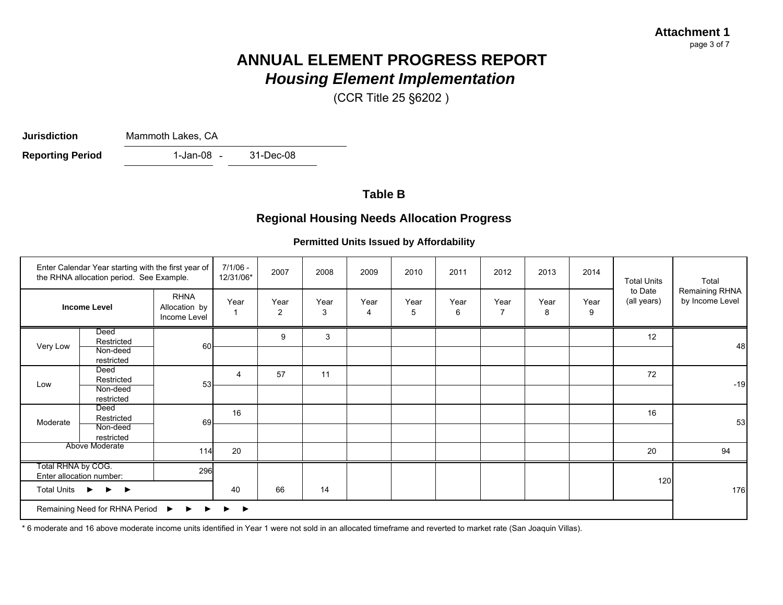# **ANNUAL ELEMENT PROGRESS REPORT***Housing Element Implementation*

(CCR Title 25 §6202 )

**Jurisdiction**

Mammoth Lakes, CA

1-Jan-08 - 31-Dec-08 **Reporting Period** 

## **Table B**

## **Regional Housing Needs Allocation Progress**

#### **Permitted Units Issued by Affordability**

|                                                                                                   | Enter Calendar Year starting with the first year of<br>the RHNA allocation period. See Example. |                                              | $7/1/06 -$<br>12/31/06* | 2007                   | 2008      | 2009      | 2010      | 2011      | 2012                   | 2013      | 2014      | <b>Total Units</b>     | Total                             |
|---------------------------------------------------------------------------------------------------|-------------------------------------------------------------------------------------------------|----------------------------------------------|-------------------------|------------------------|-----------|-----------|-----------|-----------|------------------------|-----------|-----------|------------------------|-----------------------------------|
|                                                                                                   | <b>Income Level</b>                                                                             | <b>RHNA</b><br>Allocation by<br>Income Level | Year                    | Year<br>$\overline{2}$ | Year<br>3 | Year<br>4 | Year<br>5 | Year<br>6 | Year<br>$\overline{7}$ | Year<br>8 | Year<br>9 | to Date<br>(all years) | Remaining RHNA<br>by Income Level |
| Very Low                                                                                          | Deed<br>Restricted<br>Non-deed                                                                  | 60                                           |                         | 9                      | 3         |           |           |           |                        |           |           | 12                     | 48                                |
|                                                                                                   | restricted                                                                                      |                                              |                         |                        |           |           |           |           |                        |           |           |                        |                                   |
| Low                                                                                               | Deed<br>Restricted                                                                              | 53                                           | $\overline{4}$          | 57                     | 11        |           |           |           |                        |           |           | 72                     | $-19$                             |
|                                                                                                   | Non-deed<br>restricted                                                                          |                                              |                         |                        |           |           |           |           |                        |           |           |                        |                                   |
| Moderate                                                                                          | Deed<br>Restricted                                                                              | 69                                           | 16                      |                        |           |           |           |           |                        |           |           | 16                     | 53                                |
|                                                                                                   | Non-deed<br>restricted                                                                          |                                              |                         |                        |           |           |           |           |                        |           |           |                        |                                   |
|                                                                                                   | Above Moderate                                                                                  | 114                                          | 20                      |                        |           |           |           |           |                        |           |           | 20                     | 94                                |
| Total RHNA by COG.                                                                                | Enter allocation number:                                                                        | 296                                          |                         |                        |           |           |           |           |                        |           |           | 120                    |                                   |
| <b>Total Units</b>                                                                                | $\blacktriangleright$<br>$\blacktriangleright$                                                  |                                              | 40                      | 66                     | 14        |           |           |           |                        |           |           |                        | 176                               |
| Remaining Need for RHNA Period $\rightarrow$ $\rightarrow$ $\rightarrow$<br>$\blacktriangleright$ |                                                                                                 |                                              |                         |                        |           |           |           |           |                        |           |           |                        |                                   |

\* 6 moderate and 16 above moderate income units identified in Year 1 were not sold in an allocated timeframe and reverted to market rate (San Joaquin Villas).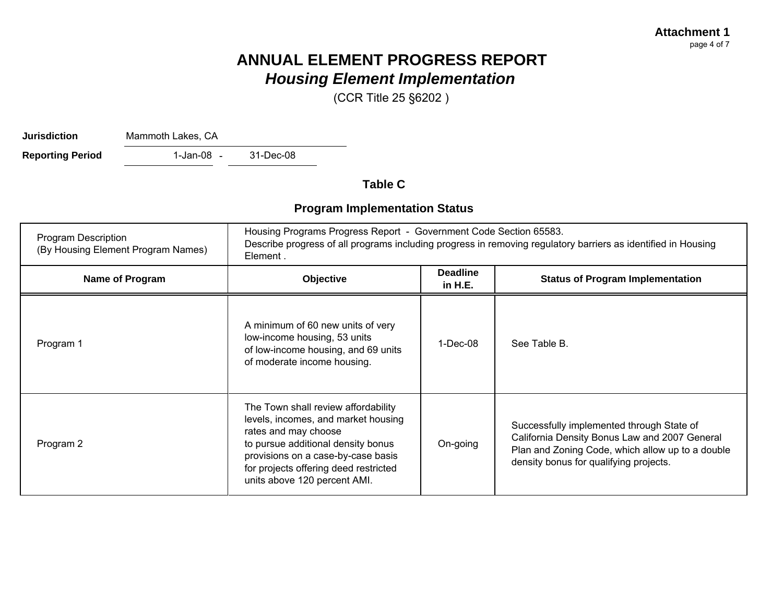# **ANNUAL ELEMENT PROGRESS REPORT***Housing Element Implementation*

(CCR Title 25 §6202 )

**Jurisdiction**

Mammoth Lakes, CA

1-Jan-08 - 31-Dec-08 **Reporting Period** 

**Table C**

## **Program Implementation Status**

| <b>Program Description</b><br>(By Housing Element Program Names) | Housing Programs Progress Report - Government Code Section 65583.<br>Describe progress of all programs including progress in removing regulatory barriers as identified in Housing<br>Element.                                                          |                            |                                                                                                                                                                                          |  |  |  |
|------------------------------------------------------------------|---------------------------------------------------------------------------------------------------------------------------------------------------------------------------------------------------------------------------------------------------------|----------------------------|------------------------------------------------------------------------------------------------------------------------------------------------------------------------------------------|--|--|--|
| Name of Program                                                  | Objective                                                                                                                                                                                                                                               | <b>Deadline</b><br>in H.E. | <b>Status of Program Implementation</b>                                                                                                                                                  |  |  |  |
| Program 1                                                        | A minimum of 60 new units of very<br>low-income housing, 53 units<br>of low-income housing, and 69 units<br>of moderate income housing.                                                                                                                 | 1-Dec-08                   | See Table B.                                                                                                                                                                             |  |  |  |
| Program 2                                                        | The Town shall review affordability<br>levels, incomes, and market housing<br>rates and may choose<br>to pursue additional density bonus<br>provisions on a case-by-case basis<br>for projects offering deed restricted<br>units above 120 percent AMI. | On-going                   | Successfully implemented through State of<br>California Density Bonus Law and 2007 General<br>Plan and Zoning Code, which allow up to a double<br>density bonus for qualifying projects. |  |  |  |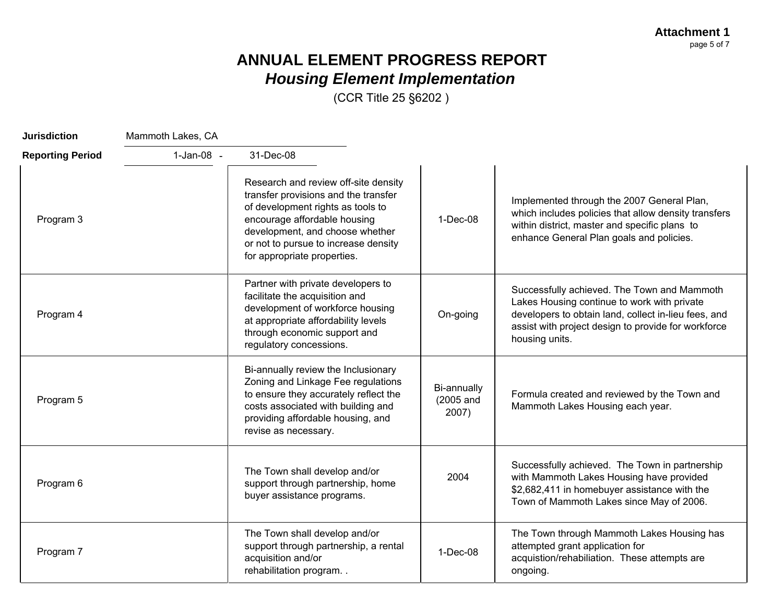**Attachment 1** page 5 of 7

# **ANNUAL ELEMENT PROGRESS REPORT** *Housing Element Implementation*

(CCR Title 25 §6202 )

| <b>Jurisdiction</b>     | Mammoth Lakes, CA |                                                                                                                                                                                                                                                             |                                   |                                                                                                                                                                                                                             |
|-------------------------|-------------------|-------------------------------------------------------------------------------------------------------------------------------------------------------------------------------------------------------------------------------------------------------------|-----------------------------------|-----------------------------------------------------------------------------------------------------------------------------------------------------------------------------------------------------------------------------|
| <b>Reporting Period</b> | 1-Jan-08 -        | 31-Dec-08                                                                                                                                                                                                                                                   |                                   |                                                                                                                                                                                                                             |
| Program 3               |                   | Research and review off-site density<br>transfer provisions and the transfer<br>of development rights as tools to<br>encourage affordable housing<br>development, and choose whether<br>or not to pursue to increase density<br>for appropriate properties. | $1-Dec-08$                        | Implemented through the 2007 General Plan,<br>which includes policies that allow density transfers<br>within district, master and specific plans to<br>enhance General Plan goals and policies.                             |
| Program 4               |                   | Partner with private developers to<br>facilitate the acquisition and<br>development of workforce housing<br>at appropriate affordability levels<br>through economic support and<br>regulatory concessions.                                                  | On-going                          | Successfully achieved. The Town and Mammoth<br>Lakes Housing continue to work with private<br>developers to obtain land, collect in-lieu fees, and<br>assist with project design to provide for workforce<br>housing units. |
| Program 5               |                   | Bi-annually review the Inclusionary<br>Zoning and Linkage Fee regulations<br>to ensure they accurately reflect the<br>costs associated with building and<br>providing affordable housing, and<br>revise as necessary.                                       | Bi-annually<br>(2005 and<br>2007) | Formula created and reviewed by the Town and<br>Mammoth Lakes Housing each year.                                                                                                                                            |
| Program 6               |                   | The Town shall develop and/or<br>support through partnership, home<br>buyer assistance programs.                                                                                                                                                            | 2004                              | Successfully achieved. The Town in partnership<br>with Mammoth Lakes Housing have provided<br>\$2,682,411 in homebuyer assistance with the<br>Town of Mammoth Lakes since May of 2006.                                      |
| Program 7               |                   | The Town shall develop and/or<br>support through partnership, a rental<br>acquisition and/or<br>rehabilitation program                                                                                                                                      | $1-Dec-08$                        | The Town through Mammoth Lakes Housing has<br>attempted grant application for<br>acquistion/rehabiliation. These attempts are<br>ongoing.                                                                                   |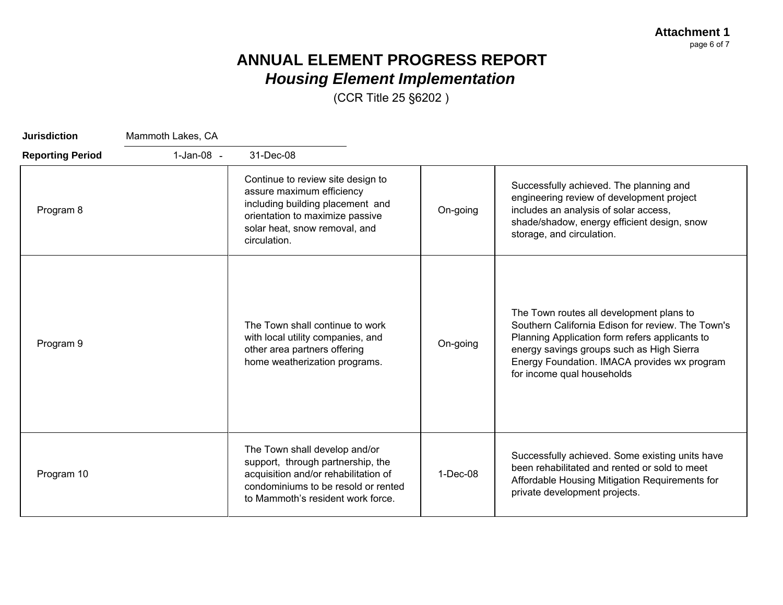**Attachment 1** page 6 of 7

# **ANNUAL ELEMENT PROGRESS REPORT** *Housing Element Implementation*

(CCR Title 25 §6202 )

| <b>Jurisdiction</b>     | Mammoth Lakes, CA |                                                                                                                                                                                        |            |                                                                                                                                                                                                                                                                            |
|-------------------------|-------------------|----------------------------------------------------------------------------------------------------------------------------------------------------------------------------------------|------------|----------------------------------------------------------------------------------------------------------------------------------------------------------------------------------------------------------------------------------------------------------------------------|
| <b>Reporting Period</b> | 1-Jan-08 -        | 31-Dec-08                                                                                                                                                                              |            |                                                                                                                                                                                                                                                                            |
| Program 8               |                   | Continue to review site design to<br>assure maximum efficiency<br>including building placement and<br>orientation to maximize passive<br>solar heat, snow removal, and<br>circulation. | On-going   | Successfully achieved. The planning and<br>engineering review of development project<br>includes an analysis of solar access,<br>shade/shadow, energy efficient design, snow<br>storage, and circulation.                                                                  |
| Program 9               |                   | The Town shall continue to work<br>with local utility companies, and<br>other area partners offering<br>home weatherization programs.                                                  | On-going   | The Town routes all development plans to<br>Southern California Edison for review. The Town's<br>Planning Application form refers applicants to<br>energy savings groups such as High Sierra<br>Energy Foundation. IMACA provides wx program<br>for income qual households |
| Program 10              |                   | The Town shall develop and/or<br>support, through partnership, the<br>acquisition and/or rehabilitation of<br>condominiums to be resold or rented<br>to Mammoth's resident work force. | $1-Dec-08$ | Successfully achieved. Some existing units have<br>been rehabilitated and rented or sold to meet<br>Affordable Housing Mitigation Requirements for<br>private development projects.                                                                                        |